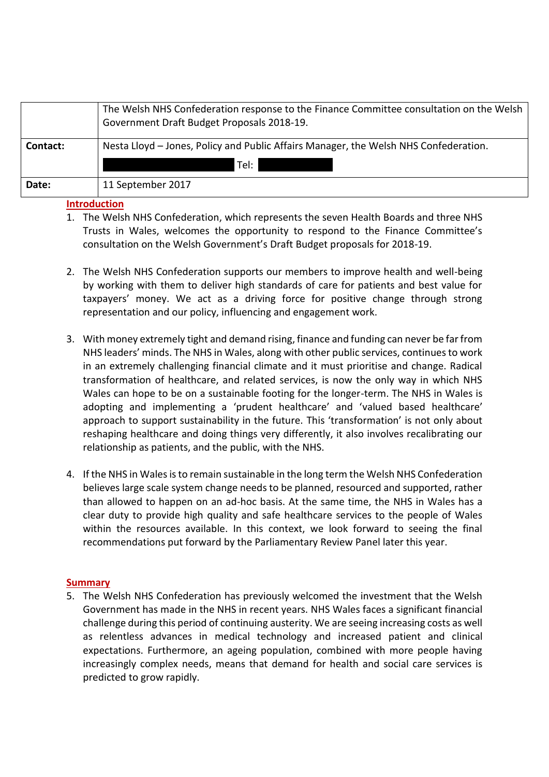|          | The Welsh NHS Confederation response to the Finance Committee consultation on the Welsh  <br>Government Draft Budget Proposals 2018-19. |
|----------|-----------------------------------------------------------------------------------------------------------------------------------------|
| Contact: | Nesta Lloyd – Jones, Policy and Public Affairs Manager, the Welsh NHS Confederation.<br>Tel:                                            |
|          |                                                                                                                                         |
| Date:    | 11 September 2017                                                                                                                       |

# **Introduction**

- 1. The Welsh NHS Confederation, which represents the seven Health Boards and three NHS Trusts in Wales, welcomes the opportunity to respond to the Finance Committee's consultation on the Welsh Government's Draft Budget proposals for 2018-19.
- 2. The Welsh NHS Confederation supports our members to improve health and well-being by working with them to deliver high standards of care for patients and best value for taxpayers' money. We act as a driving force for positive change through strong representation and our policy, influencing and engagement work.
- 3. With money extremely tight and demand rising, finance and funding can never be far from NHS leaders' minds. The NHS in Wales, along with other public services, continues to work in an extremely challenging financial climate and it must prioritise and change. Radical transformation of healthcare, and related services, is now the only way in which NHS Wales can hope to be on a sustainable footing for the longer-term. The NHS in Wales is adopting and implementing a 'prudent healthcare' and 'valued based healthcare' approach to support sustainability in the future. This 'transformation' is not only about reshaping healthcare and doing things very differently, it also involves recalibrating our relationship as patients, and the public, with the NHS.
- 4. If the NHS in Wales is to remain sustainable in the long term the Welsh NHS Confederation believes large scale system change needs to be planned, resourced and supported, rather than allowed to happen on an ad-hoc basis. At the same time, the NHS in Wales has a clear duty to provide high quality and safe healthcare services to the people of Wales within the resources available. In this context, we look forward to seeing the final recommendations put forward by the Parliamentary Review Panel later this year.

# **Summary**

5. The Welsh NHS Confederation has previously welcomed the investment that the Welsh Government has made in the NHS in recent years. NHS Wales faces a significant financial challenge during this period of continuing austerity. We are seeing increasing costs as well as relentless advances in medical technology and increased patient and clinical expectations. Furthermore, an ageing population, combined with more people having increasingly complex needs, means that demand for health and social care services is predicted to grow rapidly.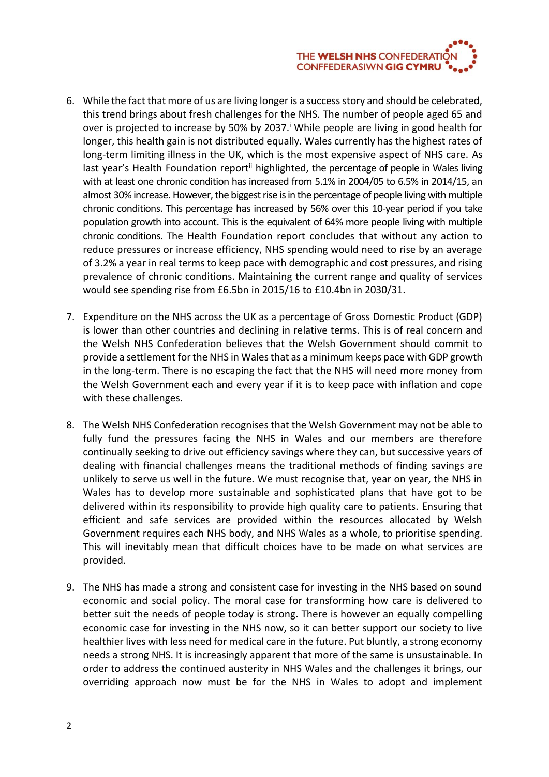

- 6. While the fact that more of us are living longer is a success story and should be celebrated, this trend brings about fresh challenges for the NHS. The number of people aged 65 and over is projected to increase by 50% by 2037.<sup>i</sup> While people are living in good health for longer, this health gain is not distributed equally. Wales currently has the highest rates of long-term limiting illness in the UK, which is the most expensive aspect of NHS care. As last year's Health Foundation report<sup>ii</sup> highlighted, the percentage of people in Wales living with at least one chronic condition has increased from 5.1% in 2004/05 to 6.5% in 2014/15, an almost 30% increase. However, the biggest rise is in the percentage of people living with multiple chronic conditions. This percentage has increased by 56% over this 10-year period if you take population growth into account. This is the equivalent of 64% more people living with multiple chronic conditions. The Health Foundation report concludes that without any action to reduce pressures or increase efficiency, NHS spending would need to rise by an average of 3.2% a year in real terms to keep pace with demographic and cost pressures, and rising prevalence of chronic conditions. Maintaining the current range and quality of services would see spending rise from £6.5bn in 2015/16 to £10.4bn in 2030/31.
- 7. Expenditure on the NHS across the UK as a percentage of Gross Domestic Product (GDP) is lower than other countries and declining in relative terms. This is of real concern and the Welsh NHS Confederation believes that the Welsh Government should commit to provide a settlement for the NHS in Wales that as a minimum keeps pace with GDP growth in the long-term. There is no escaping the fact that the NHS will need more money from the Welsh Government each and every year if it is to keep pace with inflation and cope with these challenges.
- 8. The Welsh NHS Confederation recognises that the Welsh Government may not be able to fully fund the pressures facing the NHS in Wales and our members are therefore continually seeking to drive out efficiency savings where they can, but successive years of dealing with financial challenges means the traditional methods of finding savings are unlikely to serve us well in the future. We must recognise that, year on year, the NHS in Wales has to develop more sustainable and sophisticated plans that have got to be delivered within its responsibility to provide high quality care to patients. Ensuring that efficient and safe services are provided within the resources allocated by Welsh Government requires each NHS body, and NHS Wales as a whole, to prioritise spending. This will inevitably mean that difficult choices have to be made on what services are provided.
- 9. The NHS has made a strong and consistent case for investing in the NHS based on sound economic and social policy. The moral case for transforming how care is delivered to better suit the needs of people today is strong. There is however an equally compelling economic case for investing in the NHS now, so it can better support our society to live healthier lives with less need for medical care in the future. Put bluntly, a strong economy needs a strong NHS. It is increasingly apparent that more of the same is unsustainable. In order to address the continued austerity in NHS Wales and the challenges it brings, our overriding approach now must be for the NHS in Wales to adopt and implement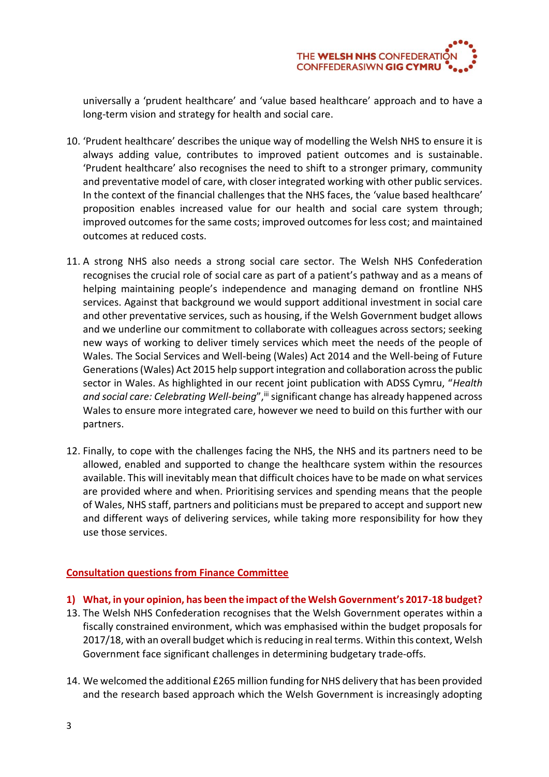

universally a 'prudent healthcare' and 'value based healthcare' approach and to have a long-term vision and strategy for health and social care.

- 10. 'Prudent healthcare' describes the unique way of modelling the Welsh NHS to ensure it is always adding value, contributes to improved patient outcomes and is sustainable. 'Prudent healthcare' also recognises the need to shift to a stronger primary, community and preventative model of care, with closer integrated working with other public services. In the context of the financial challenges that the NHS faces, the 'value based healthcare' proposition enables increased value for our health and social care system through; improved outcomes for the same costs; improved outcomes for less cost; and maintained outcomes at reduced costs.
- 11. A strong NHS also needs a strong social care sector. The Welsh NHS Confederation recognises the crucial role of social care as part of a patient's pathway and as a means of helping maintaining people's independence and managing demand on frontline NHS services. Against that background we would support additional investment in social care and other preventative services, such as housing, if the Welsh Government budget allows and we underline our commitment to collaborate with colleagues across sectors; seeking new ways of working to deliver timely services which meet the needs of the people of Wales. The Social Services and Well-being (Wales) Act 2014 and the Well-being of Future Generations (Wales) Act 2015 help support integration and collaboration across the public sector in Wales. As highlighted in our recent joint publication with ADSS Cymru, "*Health*  and social care: Celebrating Well-being", iii significant change has already happened across Wales to ensure more integrated care, however we need to build on this further with our partners.
- 12. Finally, to cope with the challenges facing the NHS, the NHS and its partners need to be allowed, enabled and supported to change the healthcare system within the resources available. This will inevitably mean that difficult choices have to be made on what services are provided where and when. Prioritising services and spending means that the people of Wales, NHS staff, partners and politicians must be prepared to accept and support new and different ways of delivering services, while taking more responsibility for how they use those services.

# **Consultation questions from Finance Committee**

- **1) What, in your opinion, has been the impact of the Welsh Government's 2017-18 budget?**
- 13. The Welsh NHS Confederation recognises that the Welsh Government operates within a fiscally constrained environment, which was emphasised within the budget proposals for 2017/18, with an overall budget which is reducing in real terms. Within this context, Welsh Government face significant challenges in determining budgetary trade-offs.
- 14. We welcomed the additional £265 million funding for NHS delivery that has been provided and the research based approach which the Welsh Government is increasingly adopting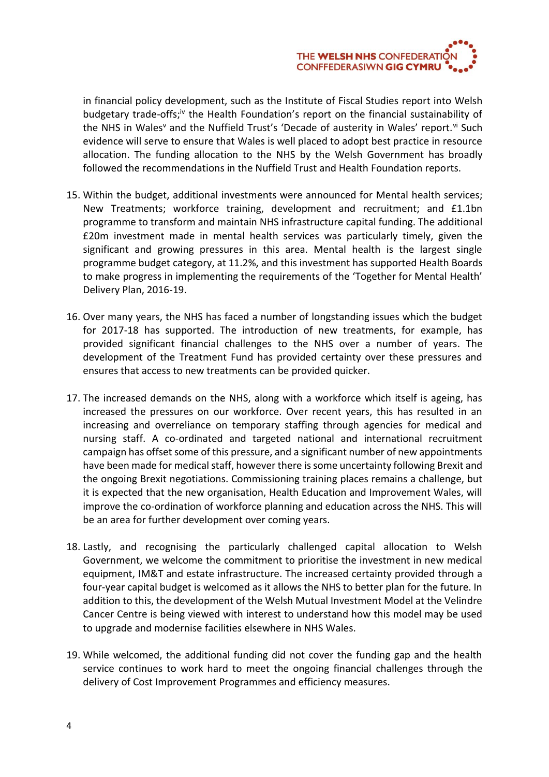

in financial policy development, such as the Institute of Fiscal Studies report into Welsh budgetary trade-offs;<sup>iv</sup> the Health Foundation's report on the financial sustainability of the NHS in Wales<sup>v</sup> and the Nuffield Trust's 'Decade of austerity in Wales' report.<sup>vi</sup> Such evidence will serve to ensure that Wales is well placed to adopt best practice in resource allocation. The funding allocation to the NHS by the Welsh Government has broadly followed the recommendations in the Nuffield Trust and Health Foundation reports.

- 15. Within the budget, additional investments were announced for Mental health services; New Treatments; workforce training, development and recruitment; and £1.1bn programme to transform and maintain NHS infrastructure capital funding. The additional £20m investment made in mental health services was particularly timely, given the significant and growing pressures in this area. Mental health is the largest single programme budget category, at 11.2%, and this investment has supported Health Boards to make progress in implementing the requirements of the 'Together for Mental Health' Delivery Plan, 2016-19.
- 16. Over many years, the NHS has faced a number of longstanding issues which the budget for 2017-18 has supported. The introduction of new treatments, for example, has provided significant financial challenges to the NHS over a number of years. The development of the Treatment Fund has provided certainty over these pressures and ensures that access to new treatments can be provided quicker.
- 17. The increased demands on the NHS, along with a workforce which itself is ageing, has increased the pressures on our workforce. Over recent years, this has resulted in an increasing and overreliance on temporary staffing through agencies for medical and nursing staff. A co-ordinated and targeted national and international recruitment campaign has offset some of this pressure, and a significant number of new appointments have been made for medical staff, however there is some uncertainty following Brexit and the ongoing Brexit negotiations. Commissioning training places remains a challenge, but it is expected that the new organisation, Health Education and Improvement Wales, will improve the co-ordination of workforce planning and education across the NHS. This will be an area for further development over coming years.
- 18. Lastly, and recognising the particularly challenged capital allocation to Welsh Government, we welcome the commitment to prioritise the investment in new medical equipment, IM&T and estate infrastructure. The increased certainty provided through a four-year capital budget is welcomed as it allows the NHS to better plan for the future. In addition to this, the development of the Welsh Mutual Investment Model at the Velindre Cancer Centre is being viewed with interest to understand how this model may be used to upgrade and modernise facilities elsewhere in NHS Wales.
- 19. While welcomed, the additional funding did not cover the funding gap and the health service continues to work hard to meet the ongoing financial challenges through the delivery of Cost Improvement Programmes and efficiency measures.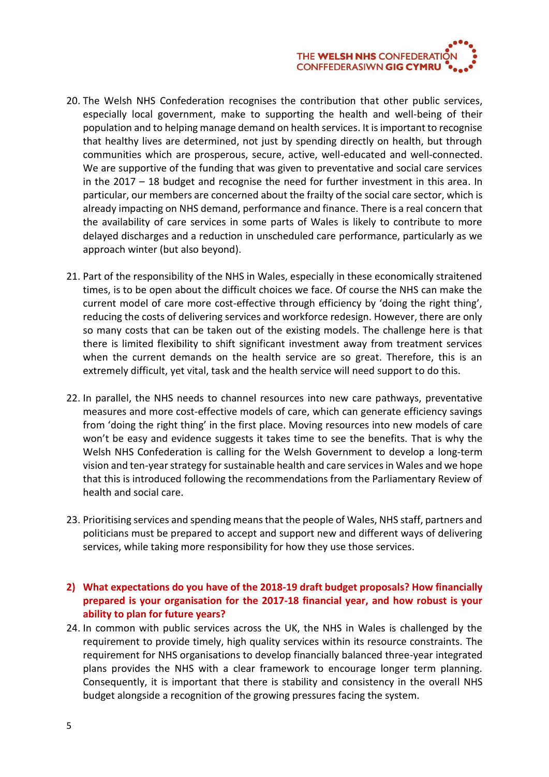

- 20. The Welsh NHS Confederation recognises the contribution that other public services, especially local government, make to supporting the health and well-being of their population and to helping manage demand on health services. It is important to recognise that healthy lives are determined, not just by spending directly on health, but through communities which are prosperous, secure, active, well-educated and well-connected. We are supportive of the funding that was given to preventative and social care services in the 2017 – 18 budget and recognise the need for further investment in this area. In particular, our members are concerned about the frailty of the social care sector, which is already impacting on NHS demand, performance and finance. There is a real concern that the availability of care services in some parts of Wales is likely to contribute to more delayed discharges and a reduction in unscheduled care performance, particularly as we approach winter (but also beyond).
- 21. Part of the responsibility of the NHS in Wales, especially in these economically straitened times, is to be open about the difficult choices we face. Of course the NHS can make the current model of care more cost-effective through efficiency by 'doing the right thing', reducing the costs of delivering services and workforce redesign. However, there are only so many costs that can be taken out of the existing models. The challenge here is that there is limited flexibility to shift significant investment away from treatment services when the current demands on the health service are so great. Therefore, this is an extremely difficult, yet vital, task and the health service will need support to do this.
- 22. In parallel, the NHS needs to channel resources into new care pathways, preventative measures and more cost-effective models of care, which can generate efficiency savings from 'doing the right thing' in the first place. Moving resources into new models of care won't be easy and evidence suggests it takes time to see the benefits. That is why the Welsh NHS Confederation is calling for the Welsh Government to develop a long-term vision and ten-year strategy for sustainable health and care services in Wales and we hope that this is introduced following the recommendations from the Parliamentary Review of health and social care.
- 23. Prioritising services and spending means that the people of Wales, NHS staff, partners and politicians must be prepared to accept and support new and different ways of delivering services, while taking more responsibility for how they use those services.
- **2) What expectations do you have of the 2018-19 draft budget proposals? How financially prepared is your organisation for the 2017-18 financial year, and how robust is your ability to plan for future years?**
- 24. In common with public services across the UK, the NHS in Wales is challenged by the requirement to provide timely, high quality services within its resource constraints. The requirement for NHS organisations to develop financially balanced three-year integrated plans provides the NHS with a clear framework to encourage longer term planning. Consequently, it is important that there is stability and consistency in the overall NHS budget alongside a recognition of the growing pressures facing the system.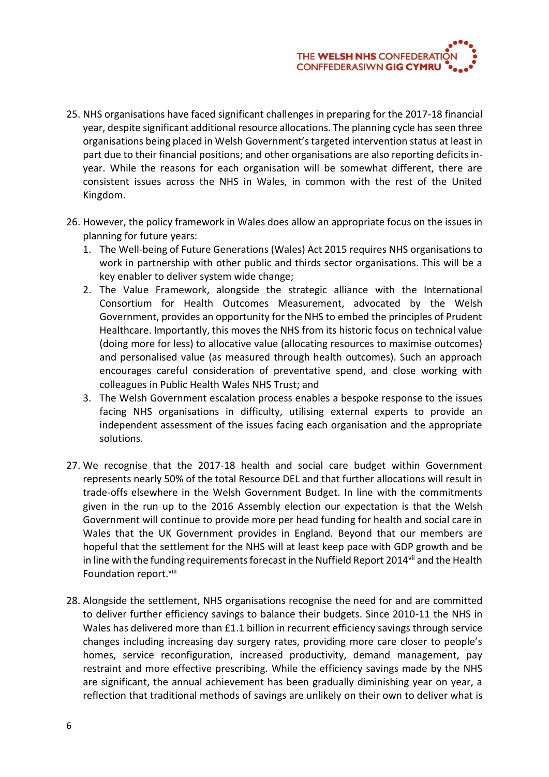

- 25. NHS organisations have faced significant challenges in preparing for the 2017-18 financial year, despite significant additional resource allocations. The planning cycle has seen three organisations being placed in Welsh Government's targeted intervention status at least in part due to their financial positions; and other organisations are also reporting deficits inyear. While the reasons for each organisation will be somewhat different, there are consistent issues across the NHS in Wales, in common with the rest of the United Kingdom.
- 26. However, the policy framework in Wales does allow an appropriate focus on the issues in planning for future years:
	- 1. The Well-being of Future Generations (Wales) Act 2015 requires NHS organisations to work in partnership with other public and thirds sector organisations. This will be a key enabler to deliver system wide change;
	- 2. The Value Framework, alongside the strategic alliance with the International Consortium for Health Outcomes Measurement, advocated by the Welsh Government, provides an opportunity for the NHS to embed the principles of Prudent Healthcare. Importantly, this moves the NHS from its historic focus on technical value (doing more for less) to allocative value (allocating resources to maximise outcomes) and personalised value (as measured through health outcomes). Such an approach encourages careful consideration of preventative spend, and close working with colleagues in Public Health Wales NHS Trust; and
	- 3. The Welsh Government escalation process enables a bespoke response to the issues facing NHS organisations in difficulty, utilising external experts to provide an independent assessment of the issues facing each organisation and the appropriate solutions.
- 27. We recognise that the 2017-18 health and social care budget within Government represents nearly 50% of the total Resource DEL and that further allocations will result in trade-offs elsewhere in the Welsh Government Budget. In line with the commitments given in the run up to the 2016 Assembly election our expectation is that the Welsh Government will continue to provide more per head funding for health and social care in Wales that the UK Government provides in England. Beyond that our members are hopeful that the settlement for the NHS will at least keep pace with GDP growth and be in line with the funding requirements forecast in the Nuffield Report 2014vii and the Health Foundation report.<sup>viii</sup>
- 28. Alongside the settlement, NHS organisations recognise the need for and are committed to deliver further efficiency savings to balance their budgets. Since 2010-11 the NHS in Wales has delivered more than £1.1 billion in recurrent efficiency savings through service changes including increasing day surgery rates, providing more care closer to people's homes, service reconfiguration, increased productivity, demand management, pay restraint and more effective prescribing. While the efficiency savings made by the NHS are significant, the annual achievement has been gradually diminishing year on year, a reflection that traditional methods of savings are unlikely on their own to deliver what is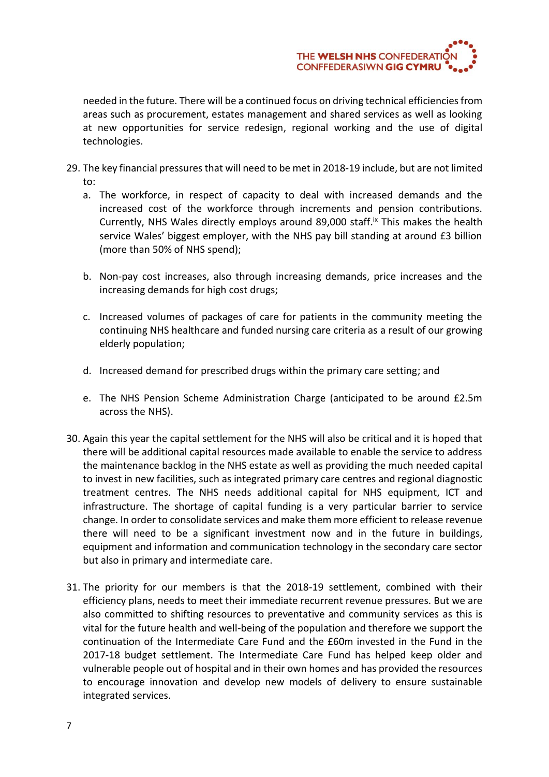

needed in the future. There will be a continued focus on driving technical efficiencies from areas such as procurement, estates management and shared services as well as looking at new opportunities for service redesign, regional working and the use of digital technologies.

- 29. The key financial pressures that will need to be met in 2018-19 include, but are not limited to:
	- a. The workforce, in respect of capacity to deal with increased demands and the increased cost of the workforce through increments and pension contributions. Currently, NHS Wales directly employs around 89,000 staff.<sup>ix</sup> This makes the health service Wales' biggest employer, with the NHS pay bill standing at around £3 billion (more than 50% of NHS spend);
	- b. Non-pay cost increases, also through increasing demands, price increases and the increasing demands for high cost drugs;
	- c. Increased volumes of packages of care for patients in the community meeting the continuing NHS healthcare and funded nursing care criteria as a result of our growing elderly population;
	- d. Increased demand for prescribed drugs within the primary care setting; and
	- e. The NHS Pension Scheme Administration Charge (anticipated to be around £2.5m across the NHS).
- 30. Again this year the capital settlement for the NHS will also be critical and it is hoped that there will be additional capital resources made available to enable the service to address the maintenance backlog in the NHS estate as well as providing the much needed capital to invest in new facilities, such as integrated primary care centres and regional diagnostic treatment centres. The NHS needs additional capital for NHS equipment, ICT and infrastructure. The shortage of capital funding is a very particular barrier to service change. In order to consolidate services and make them more efficient to release revenue there will need to be a significant investment now and in the future in buildings, equipment and information and communication technology in the secondary care sector but also in primary and intermediate care.
- 31. The priority for our members is that the 2018-19 settlement, combined with their efficiency plans, needs to meet their immediate recurrent revenue pressures. But we are also committed to shifting resources to preventative and community services as this is vital for the future health and well-being of the population and therefore we support the continuation of the Intermediate Care Fund and the £60m invested in the Fund in the 2017-18 budget settlement. The Intermediate Care Fund has helped keep older and vulnerable people out of hospital and in their own homes and has provided the resources to encourage innovation and develop new models of delivery to ensure sustainable integrated services.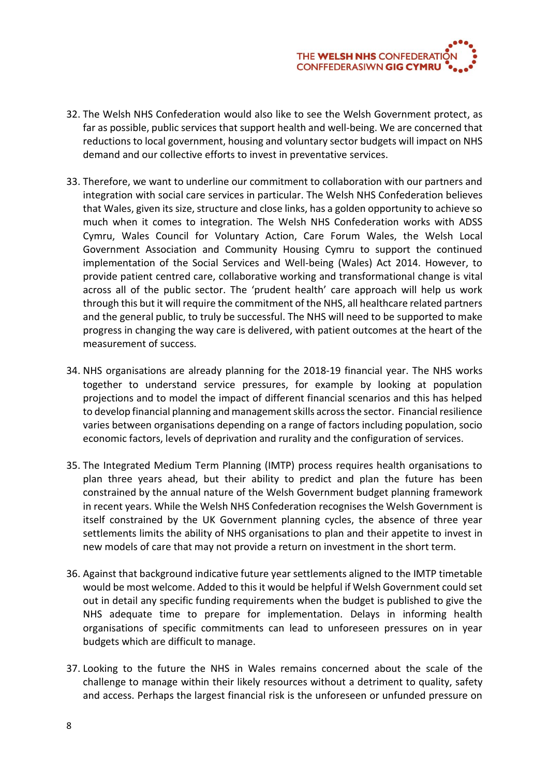

- 32. The Welsh NHS Confederation would also like to see the Welsh Government protect, as far as possible, public services that support health and well-being. We are concerned that reductions to local government, housing and voluntary sector budgets will impact on NHS demand and our collective efforts to invest in preventative services.
- 33. Therefore, we want to underline our commitment to collaboration with our partners and integration with social care services in particular. The Welsh NHS Confederation believes that Wales, given its size, structure and close links, has a golden opportunity to achieve so much when it comes to integration. The Welsh NHS Confederation works with ADSS Cymru, Wales Council for Voluntary Action, Care Forum Wales, the Welsh Local Government Association and Community Housing Cymru to support the continued implementation of the Social Services and Well-being (Wales) Act 2014. However, to provide patient centred care, collaborative working and transformational change is vital across all of the public sector. The 'prudent health' care approach will help us work through this but it will require the commitment of the NHS, all healthcare related partners and the general public, to truly be successful. The NHS will need to be supported to make progress in changing the way care is delivered, with patient outcomes at the heart of the measurement of success.
- 34. NHS organisations are already planning for the 2018-19 financial year. The NHS works together to understand service pressures, for example by looking at population projections and to model the impact of different financial scenarios and this has helped to develop financial planning and management skills across the sector. Financial resilience varies between organisations depending on a range of factors including population, socio economic factors, levels of deprivation and rurality and the configuration of services.
- 35. The Integrated Medium Term Planning (IMTP) process requires health organisations to plan three years ahead, but their ability to predict and plan the future has been constrained by the annual nature of the Welsh Government budget planning framework in recent years. While the Welsh NHS Confederation recognises the Welsh Government is itself constrained by the UK Government planning cycles, the absence of three year settlements limits the ability of NHS organisations to plan and their appetite to invest in new models of care that may not provide a return on investment in the short term.
- 36. Against that background indicative future year settlements aligned to the IMTP timetable would be most welcome. Added to this it would be helpful if Welsh Government could set out in detail any specific funding requirements when the budget is published to give the NHS adequate time to prepare for implementation. Delays in informing health organisations of specific commitments can lead to unforeseen pressures on in year budgets which are difficult to manage.
- 37. Looking to the future the NHS in Wales remains concerned about the scale of the challenge to manage within their likely resources without a detriment to quality, safety and access. Perhaps the largest financial risk is the unforeseen or unfunded pressure on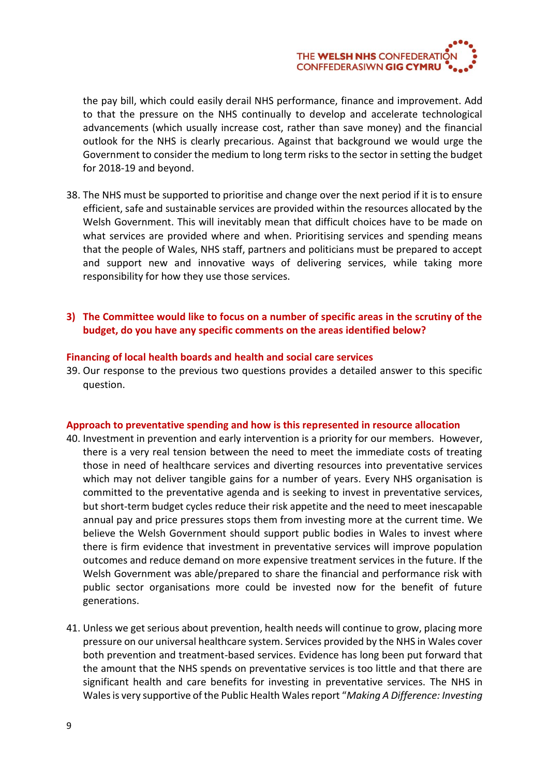

the pay bill, which could easily derail NHS performance, finance and improvement. Add to that the pressure on the NHS continually to develop and accelerate technological advancements (which usually increase cost, rather than save money) and the financial outlook for the NHS is clearly precarious. Against that background we would urge the Government to consider the medium to long term risks to the sector in setting the budget for 2018-19 and beyond.

38. The NHS must be supported to prioritise and change over the next period if it is to ensure efficient, safe and sustainable services are provided within the resources allocated by the Welsh Government. This will inevitably mean that difficult choices have to be made on what services are provided where and when. Prioritising services and spending means that the people of Wales, NHS staff, partners and politicians must be prepared to accept and support new and innovative ways of delivering services, while taking more responsibility for how they use those services.

# **3) The Committee would like to focus on a number of specific areas in the scrutiny of the budget, do you have any specific comments on the areas identified below?**

### **Financing of local health boards and health and social care services**

39. Our response to the previous two questions provides a detailed answer to this specific question.

#### **Approach to preventative spending and how is this represented in resource allocation**

- 40. Investment in prevention and early intervention is a priority for our members. However, there is a very real tension between the need to meet the immediate costs of treating those in need of healthcare services and diverting resources into preventative services which may not deliver tangible gains for a number of years. Every NHS organisation is committed to the preventative agenda and is seeking to invest in preventative services, but short-term budget cycles reduce their risk appetite and the need to meet inescapable annual pay and price pressures stops them from investing more at the current time. We believe the Welsh Government should support public bodies in Wales to invest where there is firm evidence that investment in preventative services will improve population outcomes and reduce demand on more expensive treatment services in the future. If the Welsh Government was able/prepared to share the financial and performance risk with public sector organisations more could be invested now for the benefit of future generations.
- 41. Unless we get serious about prevention, health needs will continue to grow, placing more pressure on our universal healthcare system. Services provided by the NHS in Wales cover both prevention and treatment-based services. Evidence has long been put forward that the amount that the NHS spends on preventative services is too little and that there are significant health and care benefits for investing in preventative services. The NHS in Wales is very supportive of the Public Health Wales report "*Making A Difference: Investing*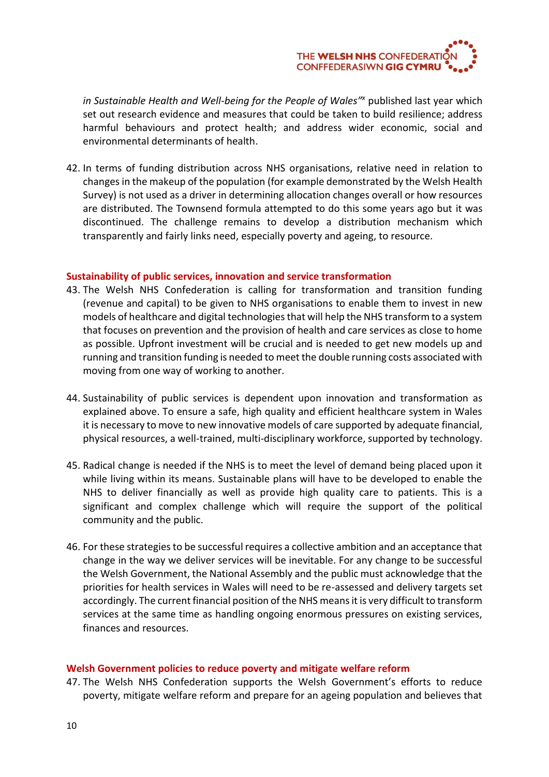

in Sustainable Health and Well-being for the People of Wales<sup>"</sup> published last year which set out research evidence and measures that could be taken to build resilience; address harmful behaviours and protect health; and address wider economic, social and environmental determinants of health.

42. In terms of funding distribution across NHS organisations, relative need in relation to changes in the makeup of the population (for example demonstrated by the Welsh Health Survey) is not used as a driver in determining allocation changes overall or how resources are distributed. The Townsend formula attempted to do this some years ago but it was discontinued. The challenge remains to develop a distribution mechanism which transparently and fairly links need, especially poverty and ageing, to resource.

### **Sustainability of public services, innovation and service transformation**

- 43. The Welsh NHS Confederation is calling for transformation and transition funding (revenue and capital) to be given to NHS organisations to enable them to invest in new models of healthcare and digital technologies that will help the NHS transform to a system that focuses on prevention and the provision of health and care services as close to home as possible. Upfront investment will be crucial and is needed to get new models up and running and transition funding is needed to meet the double running costs associated with moving from one way of working to another.
- 44. Sustainability of public services is dependent upon innovation and transformation as explained above. To ensure a safe, high quality and efficient healthcare system in Wales it is necessary to move to new innovative models of care supported by adequate financial, physical resources, a well-trained, multi-disciplinary workforce, supported by technology.
- 45. Radical change is needed if the NHS is to meet the level of demand being placed upon it while living within its means. Sustainable plans will have to be developed to enable the NHS to deliver financially as well as provide high quality care to patients. This is a significant and complex challenge which will require the support of the political community and the public.
- 46. For these strategies to be successful requires a collective ambition and an acceptance that change in the way we deliver services will be inevitable. For any change to be successful the Welsh Government, the National Assembly and the public must acknowledge that the priorities for health services in Wales will need to be re-assessed and delivery targets set accordingly. The current financial position of the NHS means it is very difficult to transform services at the same time as handling ongoing enormous pressures on existing services, finances and resources.

### **Welsh Government policies to reduce poverty and mitigate welfare reform**

47. The Welsh NHS Confederation supports the Welsh Government's efforts to reduce poverty, mitigate welfare reform and prepare for an ageing population and believes that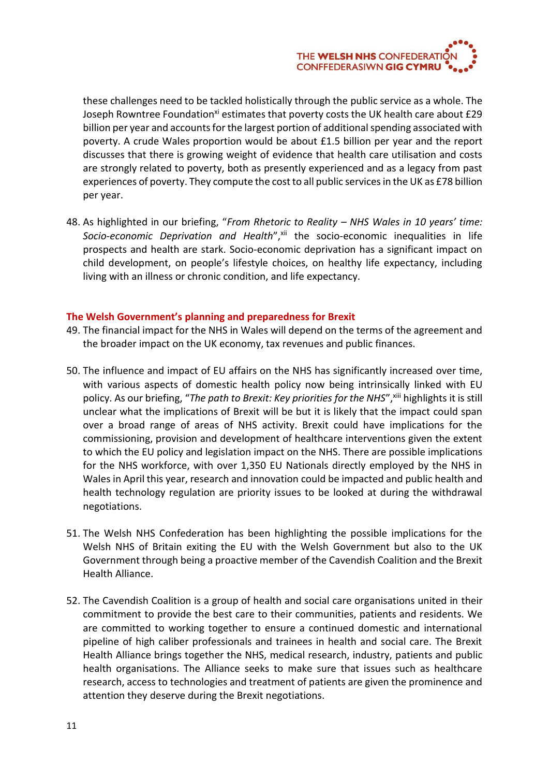

these challenges need to be tackled holistically through the public service as a whole. The Joseph Rowntree Foundation<sup>xi</sup> estimates that poverty costs the UK health care about £29 billion per year and accounts for the largest portion of additional spending associated with poverty. A crude Wales proportion would be about £1.5 billion per year and the report discusses that there is growing weight of evidence that health care utilisation and costs are strongly related to poverty, both as presently experienced and as a legacy from past experiences of poverty. They compute the cost to all public services in the UK as £78 billion per year.

48. As highlighted in our briefing, "*From Rhetoric to Reality – NHS Wales in 10 years' time:*  Socio-economic Deprivation and Health",<sup>xii</sup> the socio-economic inequalities in life prospects and health are stark. Socio-economic deprivation has a significant impact on child development, on people's lifestyle choices, on healthy life expectancy, including living with an illness or chronic condition, and life expectancy.

### **The Welsh Government's planning and preparedness for Brexit**

- 49. The financial impact for the NHS in Wales will depend on the terms of the agreement and the broader impact on the UK economy, tax revenues and public finances.
- 50. The influence and impact of EU affairs on the NHS has significantly increased over time, with various aspects of domestic health policy now being intrinsically linked with EU policy. As our briefing, "The path to Brexit: Key priorities for the NHS", xill highlights it is still unclear what the implications of Brexit will be but it is likely that the impact could span over a broad range of areas of NHS activity. Brexit could have implications for the commissioning, provision and development of healthcare interventions given the extent to which the EU policy and legislation impact on the NHS. There are possible implications for the NHS workforce, with over 1,350 EU Nationals directly employed by the NHS in Wales in April this year, research and innovation could be impacted and public health and health technology regulation are priority issues to be looked at during the withdrawal negotiations.
- 51. The Welsh NHS Confederation has been highlighting the possible implications for the Welsh NHS of Britain exiting the EU with the Welsh Government but also to the UK Government through being a proactive member of the Cavendish Coalition and the Brexit Health Alliance.
- 52. The Cavendish Coalition is a group of health and social care organisations united in their commitment to provide the best care to their communities, patients and residents. We are committed to working together to ensure a continued domestic and international pipeline of high caliber professionals and trainees in health and social care. The Brexit Health Alliance brings together the NHS, medical research, industry, patients and public health organisations. The Alliance seeks to make sure that issues such as healthcare research, access to technologies and treatment of patients are given the prominence and attention they deserve during the Brexit negotiations.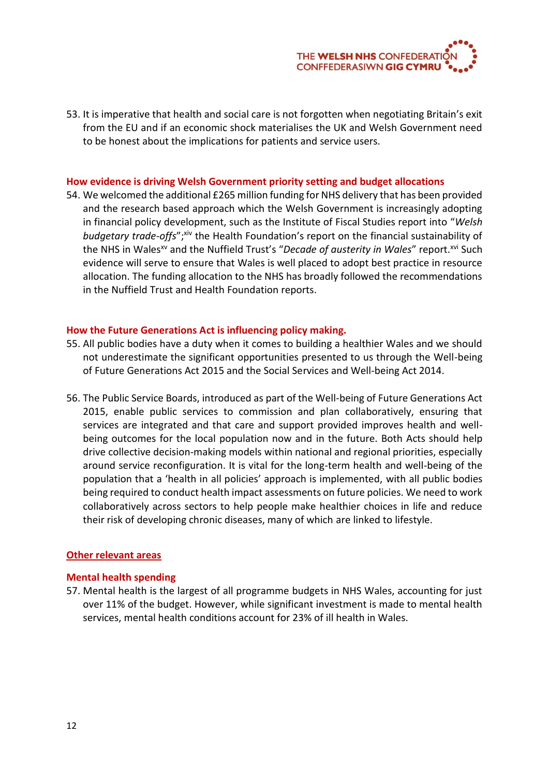

53. It is imperative that health and social care is not forgotten when negotiating Britain's exit from the EU and if an economic shock materialises the UK and Welsh Government need to be honest about the implications for patients and service users.

#### **How evidence is driving Welsh Government priority setting and budget allocations**

54. We welcomed the additional £265 million funding for NHS delivery that has been provided and the research based approach which the Welsh Government is increasingly adopting in financial policy development, such as the Institute of Fiscal Studies report into "*Welsh*  budgetary trade-offs";xiv the Health Foundation's report on the financial sustainability of the NHS in Wales<sup>xv</sup> and the Nuffield Trust's "Decade of austerity in Wales" report.<sup>xvi</sup> Such evidence will serve to ensure that Wales is well placed to adopt best practice in resource allocation. The funding allocation to the NHS has broadly followed the recommendations in the Nuffield Trust and Health Foundation reports.

### **How the Future Generations Act is influencing policy making.**

- 55. All public bodies have a duty when it comes to building a healthier Wales and we should not underestimate the significant opportunities presented to us through the Well-being of Future Generations Act 2015 and the Social Services and Well-being Act 2014.
- 56. The Public Service Boards, introduced as part of the Well-being of Future Generations Act 2015, enable public services to commission and plan collaboratively, ensuring that services are integrated and that care and support provided improves health and wellbeing outcomes for the local population now and in the future. Both Acts should help drive collective decision-making models within national and regional priorities, especially around service reconfiguration. It is vital for the long-term health and well-being of the population that a 'health in all policies' approach is implemented, with all public bodies being required to conduct health impact assessments on future policies. We need to work collaboratively across sectors to help people make healthier choices in life and reduce their risk of developing chronic diseases, many of which are linked to lifestyle.

### **Other relevant areas**

#### **Mental health spending**

57. Mental health is the largest of all programme budgets in NHS Wales, accounting for just over 11% of the budget. However, while significant investment is made to mental health services, mental health conditions account for 23% of ill health in Wales.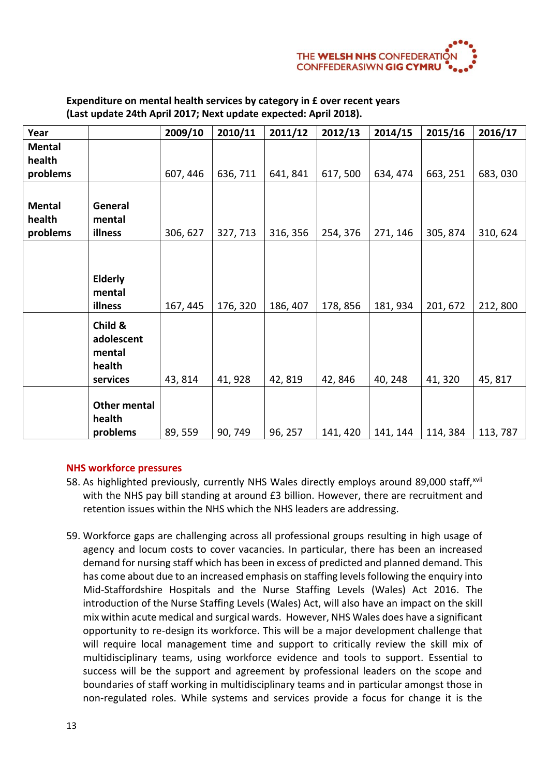

| Year          |                     | 2009/10  | 2010/11  | 2011/12  | 2012/13  | 2014/15  | 2015/16  | 2016/17  |
|---------------|---------------------|----------|----------|----------|----------|----------|----------|----------|
| <b>Mental</b> |                     |          |          |          |          |          |          |          |
| health        |                     |          |          |          |          |          |          |          |
| problems      |                     | 607, 446 | 636, 711 | 641, 841 | 617,500  | 634, 474 | 663, 251 | 683,030  |
|               |                     |          |          |          |          |          |          |          |
| <b>Mental</b> | General             |          |          |          |          |          |          |          |
| health        | mental              |          |          |          |          |          |          |          |
| problems      | illness             | 306, 627 | 327, 713 | 316, 356 | 254, 376 | 271, 146 | 305, 874 | 310, 624 |
|               |                     |          |          |          |          |          |          |          |
|               |                     |          |          |          |          |          |          |          |
|               | <b>Elderly</b>      |          |          |          |          |          |          |          |
|               | mental              |          |          |          |          |          |          |          |
|               | illness             | 167, 445 | 176, 320 | 186, 407 | 178, 856 | 181, 934 | 201, 672 | 212,800  |
|               | Child &             |          |          |          |          |          |          |          |
|               | adolescent          |          |          |          |          |          |          |          |
|               | mental              |          |          |          |          |          |          |          |
|               | health              |          |          |          |          |          |          |          |
|               | services            | 43, 814  | 41, 928  | 42,819   | 42,846   | 40, 248  | 41, 320  | 45, 817  |
|               |                     |          |          |          |          |          |          |          |
|               | <b>Other mental</b> |          |          |          |          |          |          |          |
|               | health              |          |          |          |          |          |          |          |
|               | problems            | 89, 559  | 90, 749  | 96, 257  | 141, 420 | 141, 144 | 114, 384 | 113, 787 |

## **Expenditure on mental health services by category in £ over recent years (Last update 24th April 2017; Next update expected: April 2018).**

# **NHS workforce pressures**

- 58. As highlighted previously, currently NHS Wales directly employs around 89,000 staff, xvii with the NHS pay bill standing at around £3 billion. However, there are recruitment and retention issues within the NHS which the NHS leaders are addressing.
- 59. Workforce gaps are challenging across all professional groups resulting in high usage of agency and locum costs to cover vacancies. In particular, there has been an increased demand for nursing staff which has been in excess of predicted and planned demand. This has come about due to an increased emphasis on staffing levels following the enquiry into Mid-Staffordshire Hospitals and the Nurse Staffing Levels (Wales) Act 2016. The introduction of the Nurse Staffing Levels (Wales) Act, will also have an impact on the skill mix within acute medical and surgical wards. However, NHS Wales does have a significant opportunity to re-design its workforce. This will be a major development challenge that will require local management time and support to critically review the skill mix of multidisciplinary teams, using workforce evidence and tools to support. Essential to success will be the support and agreement by professional leaders on the scope and boundaries of staff working in multidisciplinary teams and in particular amongst those in non-regulated roles. While systems and services provide a focus for change it is the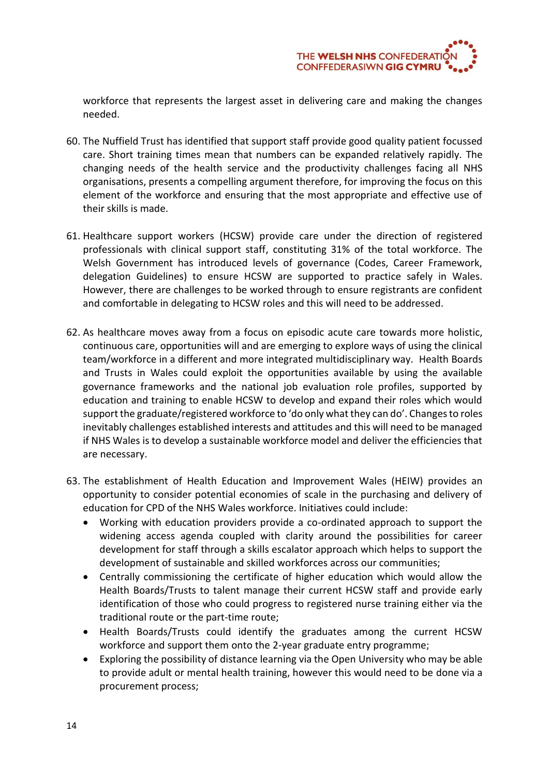

workforce that represents the largest asset in delivering care and making the changes needed.

- 60. The Nuffield Trust has identified that support staff provide good quality patient focussed care. Short training times mean that numbers can be expanded relatively rapidly. The changing needs of the health service and the productivity challenges facing all NHS organisations, presents a compelling argument therefore, for improving the focus on this element of the workforce and ensuring that the most appropriate and effective use of their skills is made.
- 61. Healthcare support workers (HCSW) provide care under the direction of registered professionals with clinical support staff, constituting 31% of the total workforce. The Welsh Government has introduced levels of governance (Codes, Career Framework, delegation Guidelines) to ensure HCSW are supported to practice safely in Wales. However, there are challenges to be worked through to ensure registrants are confident and comfortable in delegating to HCSW roles and this will need to be addressed.
- 62. As healthcare moves away from a focus on episodic acute care towards more holistic, continuous care, opportunities will and are emerging to explore ways of using the clinical team/workforce in a different and more integrated multidisciplinary way. Health Boards and Trusts in Wales could exploit the opportunities available by using the available governance frameworks and the national job evaluation role profiles, supported by education and training to enable HCSW to develop and expand their roles which would support the graduate/registered workforce to 'do only what they can do'. Changes to roles inevitably challenges established interests and attitudes and this will need to be managed if NHS Wales is to develop a sustainable workforce model and deliver the efficiencies that are necessary.
- 63. The establishment of Health Education and Improvement Wales (HEIW) provides an opportunity to consider potential economies of scale in the purchasing and delivery of education for CPD of the NHS Wales workforce. Initiatives could include:
	- Working with education providers provide a co-ordinated approach to support the widening access agenda coupled with clarity around the possibilities for career development for staff through a skills escalator approach which helps to support the development of sustainable and skilled workforces across our communities;
	- Centrally commissioning the certificate of higher education which would allow the Health Boards/Trusts to talent manage their current HCSW staff and provide early identification of those who could progress to registered nurse training either via the traditional route or the part-time route;
	- Health Boards/Trusts could identify the graduates among the current HCSW workforce and support them onto the 2-year graduate entry programme;
	- Exploring the possibility of distance learning via the Open University who may be able to provide adult or mental health training, however this would need to be done via a procurement process;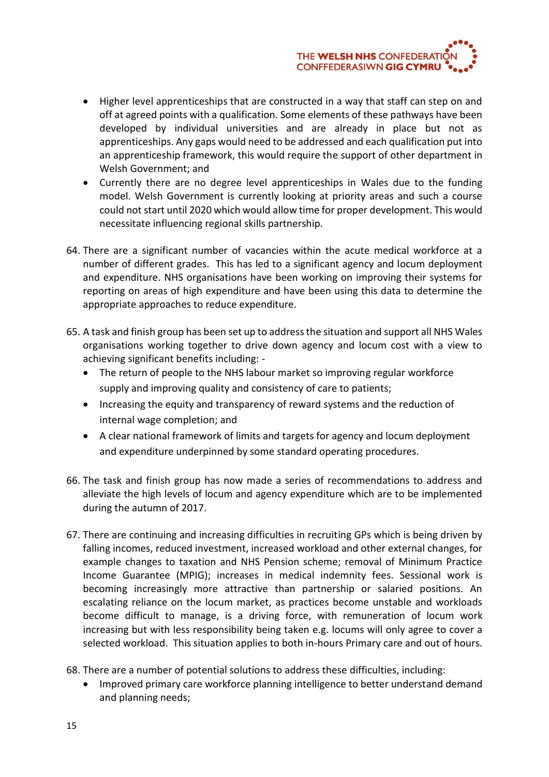

- Higher level apprenticeships that are constructed in a way that staff can step on and off at agreed points with a qualification. Some elements of these pathways have been developed by individual universities and are already in place but not as apprenticeships. Any gaps would need to be addressed and each qualification put into an apprenticeship framework, this would require the support of other department in Welsh Government; and
- Currently there are no degree level apprenticeships in Wales due to the funding model. Welsh Government is currently looking at priority areas and such a course could not start until 2020 which would allow time for proper development. This would necessitate influencing regional skills partnership.
- 64. There are a significant number of vacancies within the acute medical workforce at a number of different grades. This has led to a significant agency and locum deployment and expenditure. NHS organisations have been working on improving their systems for reporting on areas of high expenditure and have been using this data to determine the appropriate approaches to reduce expenditure.
- 65. A task and finish group has been set up to address the situation and support all NHS Wales organisations working together to drive down agency and locum cost with a view to achieving significant benefits including: -
	- The return of people to the NHS labour market so improving regular workforce supply and improving quality and consistency of care to patients;
	- Increasing the equity and transparency of reward systems and the reduction of internal wage completion; and
	- A clear national framework of limits and targets for agency and locum deployment and expenditure underpinned by some standard operating procedures.
- 66. The task and finish group has now made a series of recommendations to address and alleviate the high levels of locum and agency expenditure which are to be implemented during the autumn of 2017.
- 67. There are continuing and increasing difficulties in recruiting GPs which is being driven by falling incomes, reduced investment, increased workload and other external changes, for example changes to taxation and NHS Pension scheme; removal of Minimum Practice Income Guarantee (MPIG); increases in medical indemnity fees. Sessional work is becoming increasingly more attractive than partnership or salaried positions. An escalating reliance on the locum market, as practices become unstable and workloads become difficult to manage, is a driving force, with remuneration of locum work increasing but with less responsibility being taken e.g. locums will only agree to cover a selected workload. This situation applies to both in-hours Primary care and out of hours.
- 68. There are a number of potential solutions to address these difficulties, including:
	- Improved primary care workforce planning intelligence to better understand demand and planning needs;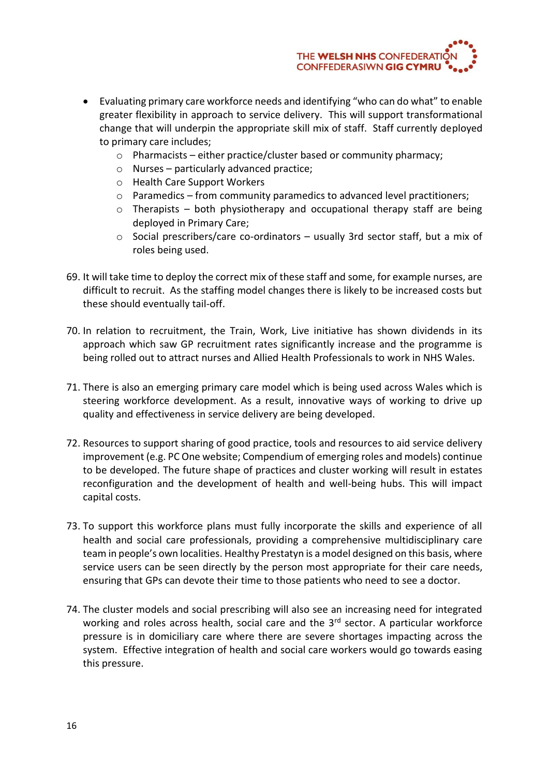

- Evaluating primary care workforce needs and identifying "who can do what" to enable greater flexibility in approach to service delivery. This will support transformational change that will underpin the appropriate skill mix of staff. Staff currently deployed to primary care includes;
	- o Pharmacists either practice/cluster based or community pharmacy;
	- o Nurses particularly advanced practice;
	- o Health Care Support Workers
	- o Paramedics from community paramedics to advanced level practitioners;
	- $\circ$  Therapists both physiotherapy and occupational therapy staff are being deployed in Primary Care;
	- o Social prescribers/care co-ordinators usually 3rd sector staff, but a mix of roles being used.
- 69. It will take time to deploy the correct mix of these staff and some, for example nurses, are difficult to recruit. As the staffing model changes there is likely to be increased costs but these should eventually tail-off.
- 70. In relation to recruitment, the Train, Work, Live initiative has shown dividends in its approach which saw GP recruitment rates significantly increase and the programme is being rolled out to attract nurses and Allied Health Professionals to work in NHS Wales.
- 71. There is also an emerging primary care model which is being used across Wales which is steering workforce development. As a result, innovative ways of working to drive up quality and effectiveness in service delivery are being developed.
- 72. Resources to support sharing of good practice, tools and resources to aid service delivery improvement (e.g. PC One website; Compendium of emerging roles and models) continue to be developed. The future shape of practices and cluster working will result in estates reconfiguration and the development of health and well-being hubs. This will impact capital costs.
- 73. To support this workforce plans must fully incorporate the skills and experience of all health and social care professionals, providing a comprehensive multidisciplinary care team in people's own localities. Healthy Prestatyn is a model designed on this basis, where service users can be seen directly by the person most appropriate for their care needs, ensuring that GPs can devote their time to those patients who need to see a doctor.
- 74. The cluster models and social prescribing will also see an increasing need for integrated working and roles across health, social care and the 3<sup>rd</sup> sector. A particular workforce pressure is in domiciliary care where there are severe shortages impacting across the system. Effective integration of health and social care workers would go towards easing this pressure.